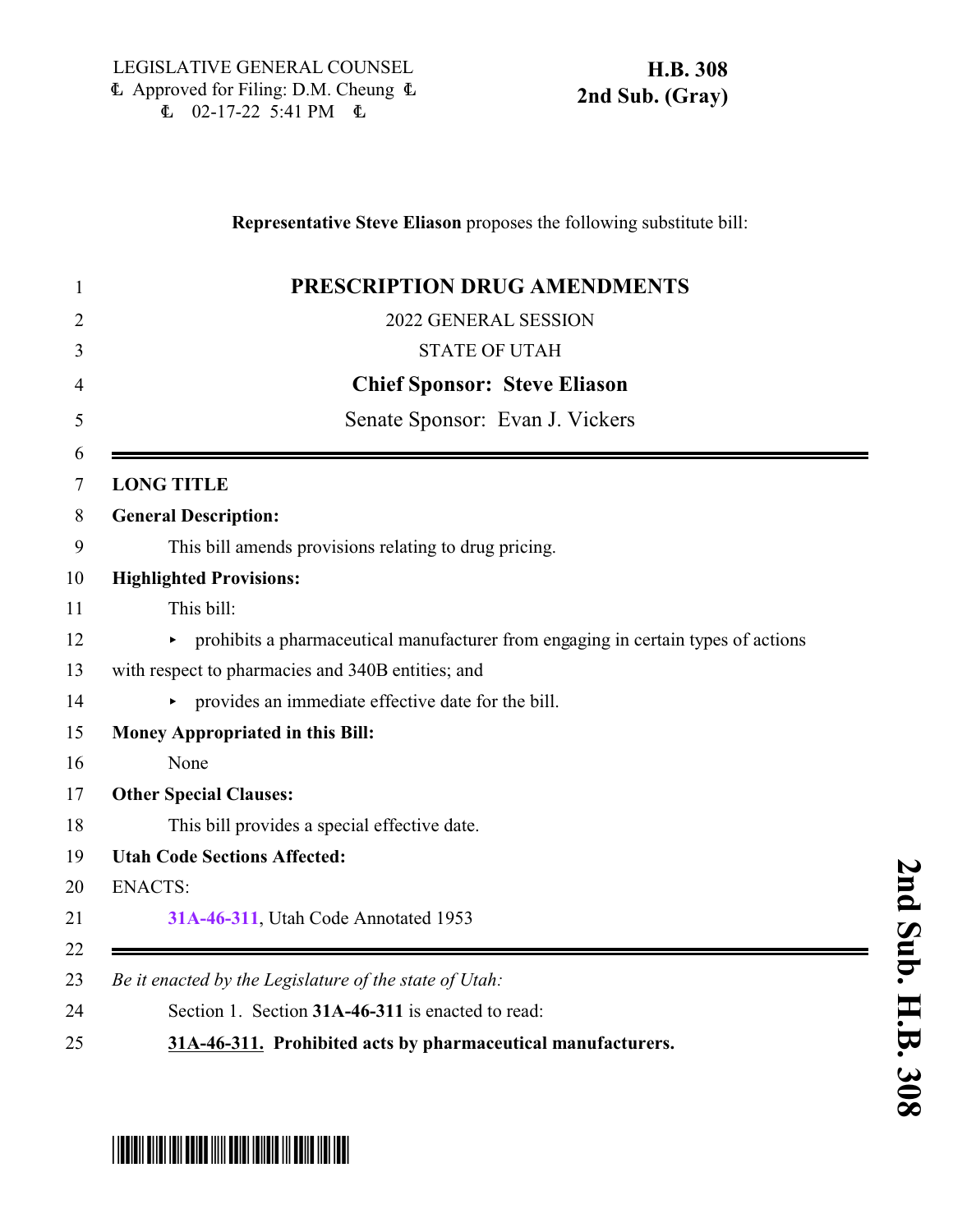**PRESCRIPTION DRUG AMENDMENTS** 2022 GENERAL SESSION STATE OF UTAH **Chief Sponsor: Steve Eliason** Senate Sponsor: Evan J. Vickers **LONG TITLE General Description:** This bill amends provisions relating to drug pricing. **Highlighted Provisions:** This bill: 12 prohibits a pharmaceutical manufacturer from engaging in certain types of actions with respect to pharmacies and 340B entities; and < provides an immediate effective date for the bill. **Money Appropriated in this Bill:** None **Other Special Clauses:** This bill provides a special effective date. **Utah Code Sections Affected:** ENACTS: **[31A-46-311](#page-0-0)**, Utah Code Annotated 1953 *Be it enacted by the Legislature of the state of Utah:* Section 1. Section **31A-46-311** is enacted to read:

**Representative Steve Eliason** proposes the following substitute bill:

**31A-46-311. Prohibited acts by pharmaceutical manufacturers.**

## <span id="page-0-0"></span>\*HB0308S02\*